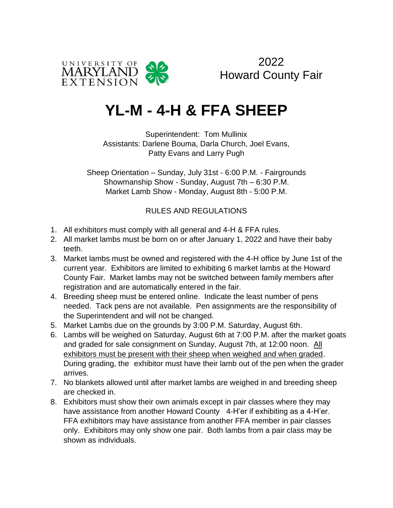

2022 Howard County Fair

# **YL-M - 4-H & FFA SHEEP**

Superintendent: Tom Mullinix Assistants: Darlene Bouma, Darla Church, Joel Evans, Patty Evans and Larry Pugh

Sheep Orientation – Sunday, July 31st - 6:00 P.M. - Fairgrounds Showmanship Show - Sunday, August 7th – 6:30 P.M. Market Lamb Show - Monday, August 8th - 5:00 P.M.

RULES AND REGULATIONS

- 1. All exhibitors must comply with all general and 4-H & FFA rules.
- 2. All market lambs must be born on or after January 1, 2022 and have their baby teeth.
- 3. Market lambs must be owned and registered with the 4-H office by June 1st of the current year. Exhibitors are limited to exhibiting 6 market lambs at the Howard County Fair. Market lambs may not be switched between family members after registration and are automatically entered in the fair.
- 4. Breeding sheep must be entered online. Indicate the least number of pens needed. Tack pens are not available. Pen assignments are the responsibility of the Superintendent and will not be changed.
- 5. Market Lambs due on the grounds by 3:00 P.M. Saturday, August 6th.
- 6. Lambs will be weighed on Saturday, August 6th at 7:00 P.M. after the market goats and graded for sale consignment on Sunday, August 7th, at 12:00 noon. All exhibitors must be present with their sheep when weighed and when graded. During grading, the exhibitor must have their lamb out of the pen when the grader arrives.
- 7. No blankets allowed until after market lambs are weighed in and breeding sheep are checked in.
- 8. Exhibitors must show their own animals except in pair classes where they may have assistance from another Howard County 4-H'er if exhibiting as a 4-H'er. FFA exhibitors may have assistance from another FFA member in pair classes only. Exhibitors may only show one pair. Both lambs from a pair class may be shown as individuals.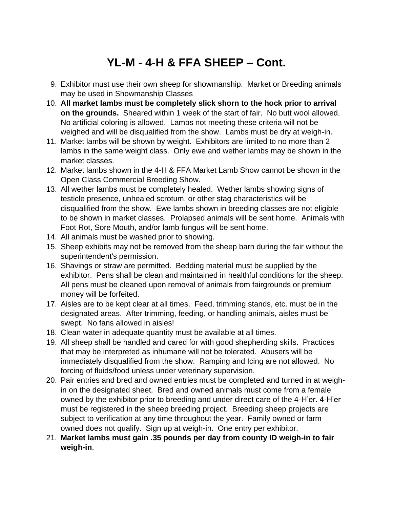# **YL-M - 4-H & FFA SHEEP – Cont.**

- 9. Exhibitor must use their own sheep for showmanship. Market or Breeding animals may be used in Showmanship Classes
- 10. **All market lambs must be completely slick shorn to the hock prior to arrival on the grounds.** Sheared within 1 week of the start of fair. No butt wool allowed. No artificial coloring is allowed. Lambs not meeting these criteria will not be weighed and will be disqualified from the show. Lambs must be dry at weigh-in.
- 11. Market lambs will be shown by weight. Exhibitors are limited to no more than 2 lambs in the same weight class. Only ewe and wether lambs may be shown in the market classes.
- 12. Market lambs shown in the 4-H & FFA Market Lamb Show cannot be shown in the Open Class Commercial Breeding Show.
- 13. All wether lambs must be completely healed. Wether lambs showing signs of testicle presence, unhealed scrotum, or other stag characteristics will be disqualified from the show. Ewe lambs shown in breeding classes are not eligible to be shown in market classes. Prolapsed animals will be sent home. Animals with Foot Rot, Sore Mouth, and/or lamb fungus will be sent home.
- 14. All animals must be washed prior to showing.
- 15. Sheep exhibits may not be removed from the sheep barn during the fair without the superintendent's permission.
- 16. Shavings or straw are permitted. Bedding material must be supplied by the exhibitor. Pens shall be clean and maintained in healthful conditions for the sheep. All pens must be cleaned upon removal of animals from fairgrounds or premium money will be forfeited.
- 17. Aisles are to be kept clear at all times. Feed, trimming stands, etc. must be in the designated areas. After trimming, feeding, or handling animals, aisles must be swept. No fans allowed in aisles!
- 18. Clean water in adequate quantity must be available at all times.
- 19. All sheep shall be handled and cared for with good shepherding skills. Practices that may be interpreted as inhumane will not be tolerated. Abusers will be immediately disqualified from the show. Ramping and Icing are not allowed. No forcing of fluids/food unless under veterinary supervision.
- 20. Pair entries and bred and owned entries must be completed and turned in at weighin on the designated sheet. Bred and owned animals must come from a female owned by the exhibitor prior to breeding and under direct care of the 4-H'er. 4-H'er must be registered in the sheep breeding project. Breeding sheep projects are subject to verification at any time throughout the year. Family owned or farm owned does not qualify. Sign up at weigh-in. One entry per exhibitor.
- 21. **Market lambs must gain .35 pounds per day from county ID weigh-in to fair weigh-in**.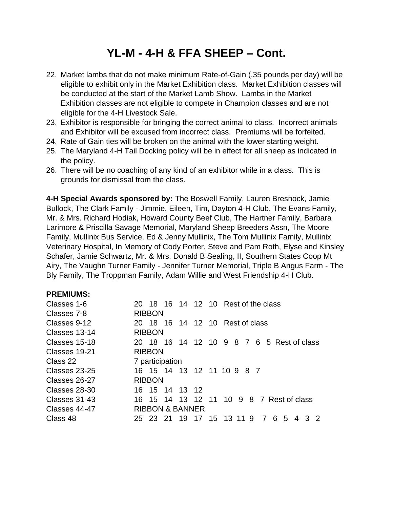## **YL-M - 4-H & FFA SHEEP – Cont.**

- 22. Market lambs that do not make minimum Rate-of-Gain (.35 pounds per day) will be eligible to exhibit only in the Market Exhibition class. Market Exhibition classes will be conducted at the start of the Market Lamb Show. Lambs in the Market Exhibition classes are not eligible to compete in Champion classes and are not eligible for the 4-H Livestock Sale.
- 23. Exhibitor is responsible for bringing the correct animal to class. Incorrect animals and Exhibitor will be excused from incorrect class. Premiums will be forfeited.
- 24. Rate of Gain ties will be broken on the animal with the lower starting weight.
- 25. The Maryland 4-H Tail Docking policy will be in effect for all sheep as indicated in the policy.
- 26. There will be no coaching of any kind of an exhibitor while in a class. This is grounds for dismissal from the class.

**4-H Special Awards sponsored by:** The Boswell Family, Lauren Bresnock, Jamie Bullock, The Clark Family - Jimmie, Eileen, Tim, Dayton 4-H Club, The Evans Family, Mr. & Mrs. Richard Hodiak, Howard County Beef Club, The Hartner Family, Barbara Larimore & Priscilla Savage Memorial, Maryland Sheep Breeders Assn, The Moore Family, Mullinix Bus Service, Ed & Jenny Mullinix, The Tom Mullinix Family, Mullinix Veterinary Hospital, In Memory of Cody Porter, Steve and Pam Roth, Elyse and Kinsley Schafer, Jamie Schwartz, Mr. & Mrs. Donald B Sealing, II, Southern States Coop Mt Airy, The Vaughn Turner Family - Jennifer Turner Memorial, Triple B Angus Farm - The Bly Family, The Troppman Family, Adam Willie and West Friendship 4-H Club.

#### **PREMIUMS:**

| Classes 1-6   | 20 18 16 14 12 10 Rest of the class                                  |
|---------------|----------------------------------------------------------------------|
| Classes 7-8   | <b>RIBBON</b>                                                        |
| Classes 9-12  | 20 18 16 14 12 10 Rest of class                                      |
| Classes 13-14 | <b>RIBBON</b>                                                        |
| Classes 15-18 | 20 18 16 14 12 10 9 8 7 6 5 Rest of class                            |
| Classes 19-21 | <b>RIBBON</b>                                                        |
| Class 22      | 7 participation                                                      |
| Classes 23-25 | 16 15 14 13 12 11 10 9 8 7                                           |
| Classes 26-27 | <b>RIBBON</b>                                                        |
| Classes 28-30 | 16 15 14 13 12                                                       |
| Classes 31-43 | 16 15 14 13 12 11 10 9 8 7 Rest of class                             |
| Classes 44-47 | <b>RIBBON &amp; BANNER</b>                                           |
| Class 48      | 19 17 15 13 11 9<br>$\overline{7}$<br>25 23 21<br>6<br>32<br>-5<br>4 |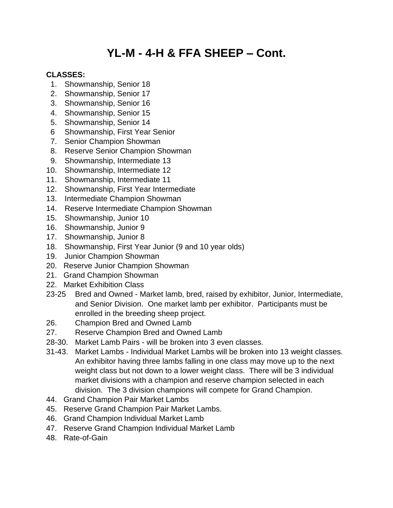## **YL-M - 4-H & FFA SHEEP – Cont.**

#### **CLASSES:**

- 1. Showmanship, Senior 18
- 2. Showmanship, Senior 17
- 3. Showmanship, Senior 16
- 4. Showmanship, Senior 15
- 5. Showmanship, Senior 14
- 6 Showmanship, First Year Senior
- 7. Senior Champion Showman
- 8. Reserve Senior Champion Showman
- 9. Showmanship, Intermediate 13
- 10. Showmanship, Intermediate 12
- 11. Showmanship, Intermediate 11
- 12. Showmanship, First Year Intermediate
- 13. Intermediate Champion Showman
- 14. Reserve Intermediate Champion Showman
- 15. Showmanship, Junior 10
- 16. Showmanship, Junior 9
- 17. Showmanship, Junior 8
- 18. Showmanship, First Year Junior (9 and 10 year olds)
- 19. Junior Champion Showman
- 20. Reserve Junior Champion Showman
- 21. Grand Champion Showman
- 22. Market Exhibition Class
- 23-25 Bred and Owned Market lamb, bred, raised by exhibitor, Junior, Intermediate, and Senior Division. One market lamb per exhibitor. Participants must be enrolled in the breeding sheep project.
- 26. Champion Bred and Owned Lamb
- 27. Reserve Champion Bred and Owned Lamb
- 28-30. Market Lamb Pairs will be broken into 3 even classes.
- 31-43. Market Lambs Individual Market Lambs will be broken into 13 weight classes. An exhibitor having three lambs falling in one class may move up to the next weight class but not down to a lower weight class. There will be 3 individual market divisions with a champion and reserve champion selected in each division. The 3 division champions will compete for Grand Champion.
- 44. Grand Champion Pair Market Lambs
- 45. Reserve Grand Champion Pair Market Lambs.
- 46. Grand Champion Individual Market Lamb
- 47. Reserve Grand Champion Individual Market Lamb
- 48. Rate-of-Gain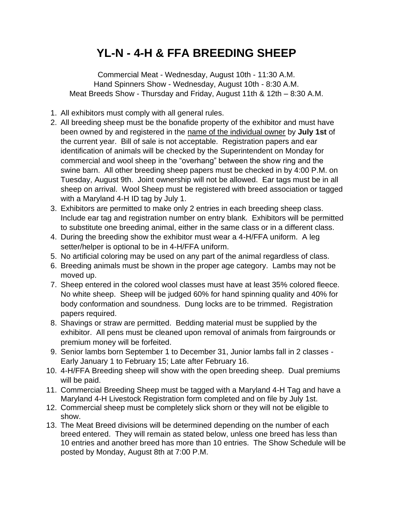### **YL-N - 4-H & FFA BREEDING SHEEP**

Commercial Meat - Wednesday, August 10th - 11:30 A.M. Hand Spinners Show - Wednesday, August 10th - 8:30 A.M. Meat Breeds Show - Thursday and Friday, August 11th & 12th – 8:30 A.M.

- 1. All exhibitors must comply with all general rules.
- 2. All breeding sheep must be the bonafide property of the exhibitor and must have been owned by and registered in the name of the individual owner by **July 1st** of the current year. Bill of sale is not acceptable. Registration papers and ear identification of animals will be checked by the Superintendent on Monday for commercial and wool sheep in the "overhang" between the show ring and the swine barn. All other breeding sheep papers must be checked in by 4:00 P.M. on Tuesday, August 9th. Joint ownership will not be allowed. Ear tags must be in all sheep on arrival. Wool Sheep must be registered with breed association or tagged with a Maryland 4-H ID tag by July 1.
- 3. Exhibitors are permitted to make only 2 entries in each breeding sheep class. Include ear tag and registration number on entry blank. Exhibitors will be permitted to substitute one breeding animal, either in the same class or in a different class.
- 4. During the breeding show the exhibitor must wear a 4-H/FFA uniform. A leg setter/helper is optional to be in 4-H/FFA uniform.
- 5. No artificial coloring may be used on any part of the animal regardless of class.
- 6. Breeding animals must be shown in the proper age category. Lambs may not be moved up.
- 7. Sheep entered in the colored wool classes must have at least 35% colored fleece. No white sheep. Sheep will be judged 60% for hand spinning quality and 40% for body conformation and soundness. Dung locks are to be trimmed. Registration papers required.
- 8. Shavings or straw are permitted. Bedding material must be supplied by the exhibitor. All pens must be cleaned upon removal of animals from fairgrounds or premium money will be forfeited.
- 9. Senior lambs born September 1 to December 31, Junior lambs fall in 2 classes Early January 1 to February 15; Late after February 16.
- 10. 4-H/FFA Breeding sheep will show with the open breeding sheep. Dual premiums will be paid.
- 11. Commercial Breeding Sheep must be tagged with a Maryland 4-H Tag and have a Maryland 4-H Livestock Registration form completed and on file by July 1st.
- 12. Commercial sheep must be completely slick shorn or they will not be eligible to show.
- 13. The Meat Breed divisions will be determined depending on the number of each breed entered. They will remain as stated below, unless one breed has less than 10 entries and another breed has more than 10 entries. The Show Schedule will be posted by Monday, August 8th at 7:00 P.M.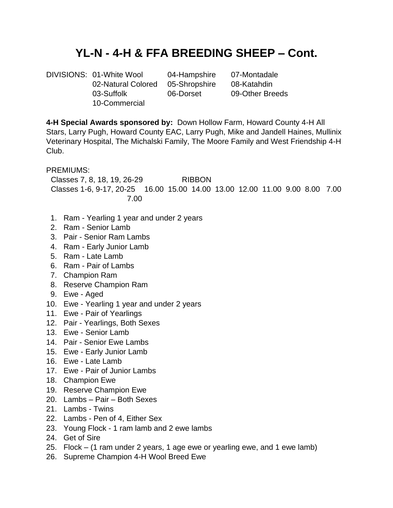### **YL-N - 4-H & FFA BREEDING SHEEP – Cont.**

DIVISIONS: 01-White Wool 04-Hampshire 07-Montadale 02-Natural Colored 05-Shropshire 08-Katahdin 03-Suffolk 06-Dorset 09-Other Breeds 10-Commercial

**4-H Special Awards sponsored by:** Down Hollow Farm, Howard County 4-H All Stars, Larry Pugh, Howard County EAC, Larry Pugh, Mike and Jandell Haines, Mullinix Veterinary Hospital, The Michalski Family, The Moore Family and West Friendship 4-H Club.

PREMIUMS:

Classes 7, 8, 18, 19, 26-29 RIBBON Classes 1-6, 9-17, 20-25 16.00 15.00 14.00 13.00 12.00 11.00 9.00 8.00 7.00 7.00

- 1. Ram Yearling 1 year and under 2 years
- 2. Ram Senior Lamb
- 3. Pair Senior Ram Lambs
- 4. Ram Early Junior Lamb
- 5. Ram Late Lamb
- 6. Ram Pair of Lambs
- 7. Champion Ram
- 8. Reserve Champion Ram
- 9. Ewe Aged
- 10. Ewe Yearling 1 year and under 2 years
- 11. Ewe Pair of Yearlings
- 12. Pair Yearlings, Both Sexes
- 13. Ewe Senior Lamb
- 14. Pair Senior Ewe Lambs
- 15. Ewe Early Junior Lamb
- 16. Ewe Late Lamb
- 17. Ewe Pair of Junior Lambs
- 18. Champion Ewe
- 19. Reserve Champion Ewe
- 20. Lambs Pair Both Sexes
- 21. Lambs Twins
- 22. Lambs Pen of 4, Either Sex
- 23. Young Flock 1 ram lamb and 2 ewe lambs
- 24. Get of Sire
- 25. Flock (1 ram under 2 years, 1 age ewe or yearling ewe, and 1 ewe lamb)
- 26. Supreme Champion 4-H Wool Breed Ewe